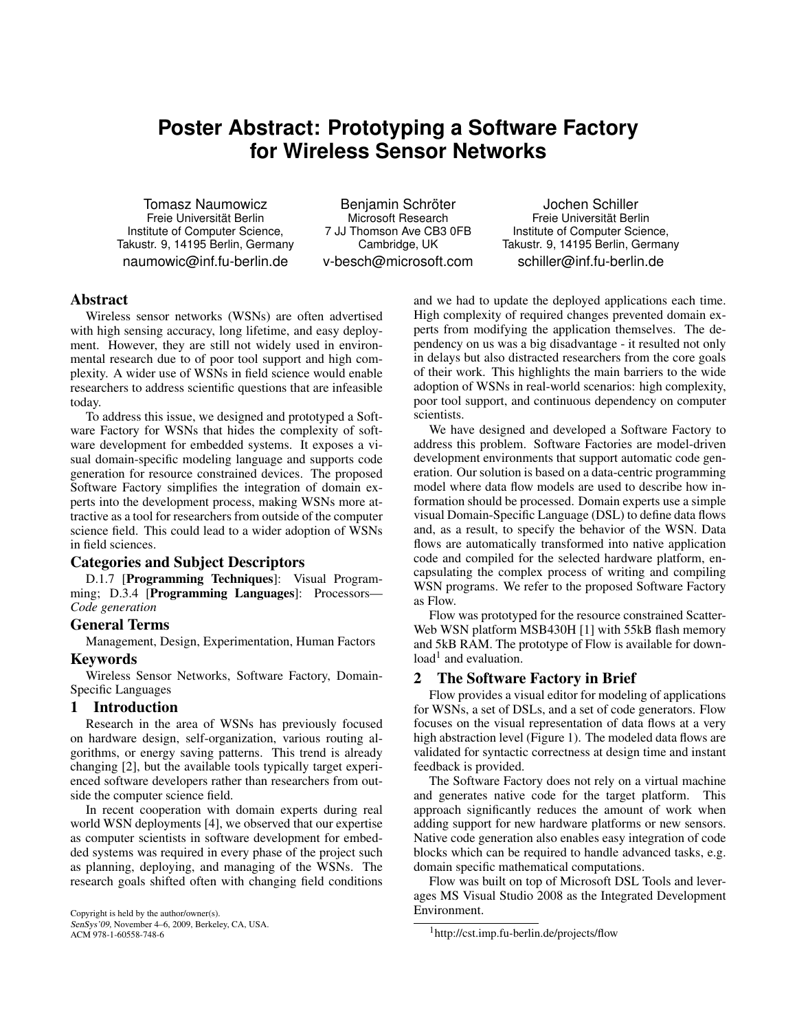# **Poster Abstract: Prototyping a Software Factory for Wireless Sensor Networks**

Tomasz Naumowicz Freie Universitat Berlin ¨ Institute of Computer Science, Takustr. 9, 14195 Berlin, Germany naumowic@inf.fu-berlin.de

Benjamin Schröter Microsoft Research 7 JJ Thomson Ave CB3 0FB Cambridge, UK v-besch@microsoft.com

Jochen Schiller Freie Universitat Berlin ¨ Institute of Computer Science, Takustr. 9, 14195 Berlin, Germany schiller@inf.fu-berlin.de

# Abstract

Wireless sensor networks (WSNs) are often advertised with high sensing accuracy, long lifetime, and easy deployment. However, they are still not widely used in environmental research due to of poor tool support and high complexity. A wider use of WSNs in field science would enable researchers to address scientific questions that are infeasible today.

To address this issue, we designed and prototyped a Software Factory for WSNs that hides the complexity of software development for embedded systems. It exposes a visual domain-specific modeling language and supports code generation for resource constrained devices. The proposed Software Factory simplifies the integration of domain experts into the development process, making WSNs more attractive as a tool for researchers from outside of the computer science field. This could lead to a wider adoption of WSNs in field sciences.

## Categories and Subject Descriptors

D.1.7 [Programming Techniques]: Visual Programming; D.3.4 [Programming Languages]: Processors— *Code generation*

## General Terms

Management, Design, Experimentation, Human Factors Keywords

## Wireless Sensor Networks, Software Factory, Domain-Specific Languages

## 1 Introduction

Research in the area of WSNs has previously focused on hardware design, self-organization, various routing algorithms, or energy saving patterns. This trend is already changing [2], but the available tools typically target experienced software developers rather than researchers from outside the computer science field.

In recent cooperation with domain experts during real world WSN deployments [4], we observed that our expertise as computer scientists in software development for embedded systems was required in every phase of the project such as planning, deploying, and managing of the WSNs. The research goals shifted often with changing field conditions

Copyright is held by the author/owner(s). SenSys'09, November 4–6, 2009, Berkeley, CA, USA. ACM 978-1-60558-748-6

and we had to update the deployed applications each time. High complexity of required changes prevented domain experts from modifying the application themselves. The dependency on us was a big disadvantage - it resulted not only in delays but also distracted researchers from the core goals of their work. This highlights the main barriers to the wide adoption of WSNs in real-world scenarios: high complexity, poor tool support, and continuous dependency on computer scientists.

We have designed and developed a Software Factory to address this problem. Software Factories are model-driven development environments that support automatic code generation. Our solution is based on a data-centric programming model where data flow models are used to describe how information should be processed. Domain experts use a simple visual Domain-Specific Language (DSL) to define data flows and, as a result, to specify the behavior of the WSN. Data flows are automatically transformed into native application code and compiled for the selected hardware platform, encapsulating the complex process of writing and compiling WSN programs. We refer to the proposed Software Factory as Flow.

Flow was prototyped for the resource constrained Scatter-Web WSN platform MSB430H [1] with 55kB flash memory and 5kB RAM. The prototype of Flow is available for download<sup>1</sup> and evaluation.

## 2 The Software Factory in Brief

Flow provides a visual editor for modeling of applications for WSNs, a set of DSLs, and a set of code generators. Flow focuses on the visual representation of data flows at a very high abstraction level (Figure 1). The modeled data flows are validated for syntactic correctness at design time and instant feedback is provided.

The Software Factory does not rely on a virtual machine and generates native code for the target platform. This approach significantly reduces the amount of work when adding support for new hardware platforms or new sensors. Native code generation also enables easy integration of code blocks which can be required to handle advanced tasks, e.g. domain specific mathematical computations.

Flow was built on top of Microsoft DSL Tools and leverages MS Visual Studio 2008 as the Integrated Development Environment.

<sup>1</sup>http://cst.imp.fu-berlin.de/projects/flow